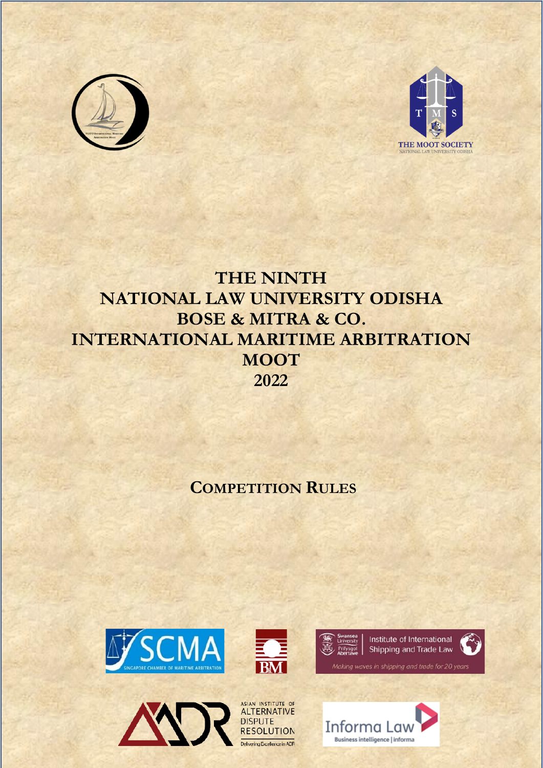



# **THE NINTH NATIONAL LAW UNIVERSITY ODISHA BOSE & MITRA & CO. INTERNATIONAL MARITIME ARBITRATION MOOT 2022**

# **COMPETITION RULES**









Making waves in shipping and trade for 20 years

Informa Law

Business intelligence | informa



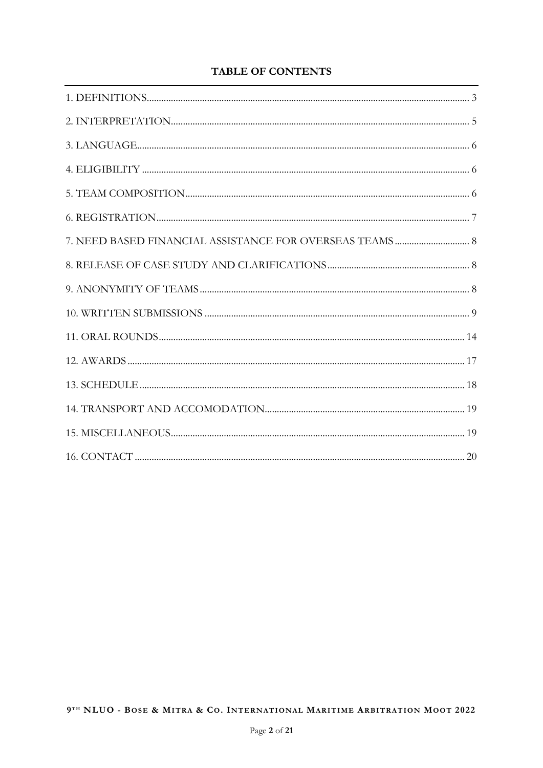# **TABLE OF CONTENTS**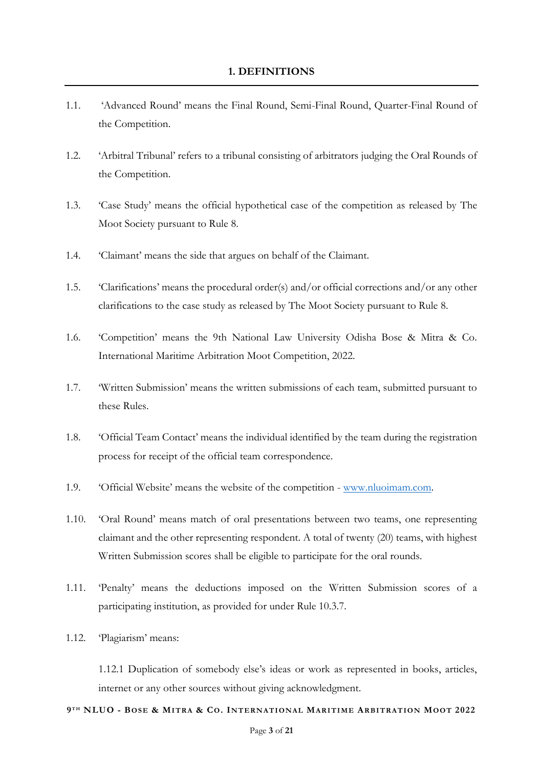- <span id="page-2-0"></span>1.1. 'Advanced Round' means the Final Round, Semi-Final Round, Quarter-Final Round of the Competition.
- 1.2. 'Arbitral Tribunal' refers to a tribunal consisting of arbitrators judging the Oral Rounds of the Competition.
- 1.3. 'Case Study' means the official hypothetical case of the competition as released by The Moot Society pursuant to Rule 8.
- 1.4. 'Claimant' means the side that argues on behalf of the Claimant.
- 1.5. 'Clarifications' means the procedural order(s) and/or official corrections and/or any other clarifications to the case study as released by The Moot Society pursuant to Rule 8.
- 1.6. 'Competition' means the 9th National Law University Odisha Bose & Mitra & Co. International Maritime Arbitration Moot Competition, 2022.
- 1.7. 'Written Submission' means the written submissions of each team, submitted pursuant to these Rules.
- 1.8. 'Official Team Contact' means the individual identified by the team during the registration process for receipt of the official team correspondence.
- 1.9. 'Official Website' means the website of the competition [www.nluoimam.com.](http://www.nluoimam.com/)
- 1.10. 'Oral Round' means match of oral presentations between two teams, one representing claimant and the other representing respondent. A total of twenty (20) teams, with highest Written Submission scores shall be eligible to participate for the oral rounds.
- 1.11. 'Penalty' means the deductions imposed on the Written Submission scores of a participating institution, as provided for under Rule 10.3.7.
- 1.12. 'Plagiarism' means:

1.12.1 Duplication of somebody else's ideas or work as represented in books, articles, internet or any other sources without giving acknowledgment.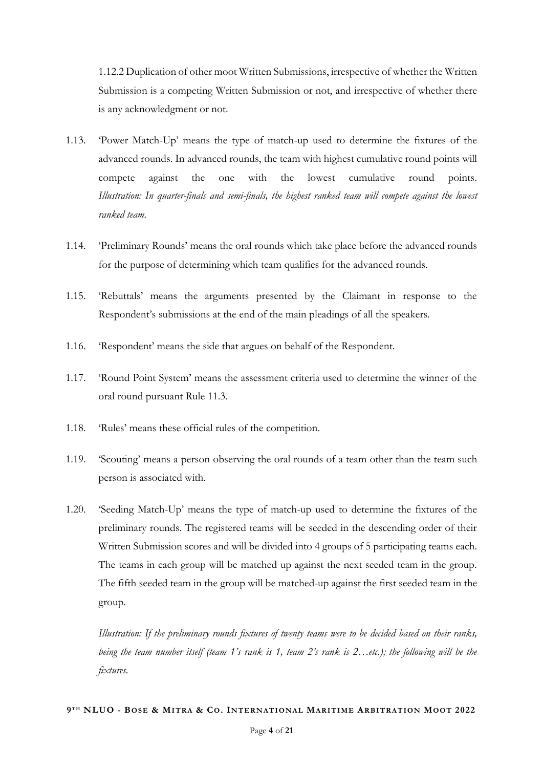1.12.2 Duplication of other moot Written Submissions, irrespective of whether the Written Submission is a competing Written Submission or not, and irrespective of whether there is any acknowledgment or not.

- 1.13. 'Power Match-Up' means the type of match-up used to determine the fixtures of the advanced rounds. In advanced rounds, the team with highest cumulative round points will compete against the one with the lowest cumulative round points. *Illustration: In quarter-finals and semi-finals, the highest ranked team will compete against the lowest ranked team.*
- 1.14. 'Preliminary Rounds' means the oral rounds which take place before the advanced rounds for the purpose of determining which team qualifies for the advanced rounds.
- 1.15. 'Rebuttals' means the arguments presented by the Claimant in response to the Respondent's submissions at the end of the main pleadings of all the speakers.
- 1.16. 'Respondent' means the side that argues on behalf of the Respondent.
- 1.17. 'Round Point System' means the assessment criteria used to determine the winner of the oral round pursuant Rule 11.3.
- 1.18. 'Rules' means these official rules of the competition.
- 1.19. 'Scouting' means a person observing the oral rounds of a team other than the team such person is associated with.
- 1.20. 'Seeding Match-Up' means the type of match-up used to determine the fixtures of the preliminary rounds. The registered teams will be seeded in the descending order of their Written Submission scores and will be divided into 4 groups of 5 participating teams each. The teams in each group will be matched up against the next seeded team in the group. The fifth seeded team in the group will be matched-up against the first seeded team in the group.

*Illustration: If the preliminary rounds fixtures of twenty teams were to be decided based on their ranks, being the team number itself (team 1's rank is 1, team 2's rank is 2…etc.); the following will be the fixtures.*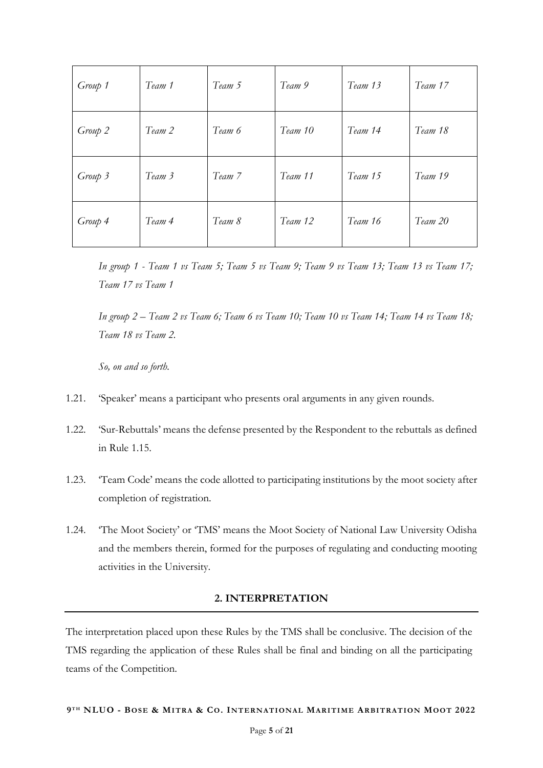| Group 1 | Team 1 | Team 5 | Team 9  | Team 13 | Team 17 |
|---------|--------|--------|---------|---------|---------|
| Group 2 | Team 2 | Team 6 | Team 10 | Team 14 | Team 18 |
| Group 3 | Team 3 | Team 7 | Team 11 | Team 15 | Team 19 |
| Group 4 | Team 4 | Team 8 | Team 12 | Team 16 | Team 20 |

*In group 1 - Team 1 vs Team 5; Team 5 vs Team 9; Team 9 vs Team 13; Team 13 vs Team 17; Team 17 vs Team 1*

*In group 2 – Team 2 vs Team 6; Team 6 vs Team 10; Team 10 vs Team 14; Team 14 vs Team 18; Team 18 vs Team 2.* 

*So, on and so forth.*

- 1.21. 'Speaker' means a participant who presents oral arguments in any given rounds.
- 1.22. 'Sur-Rebuttals' means the defense presented by the Respondent to the rebuttals as defined in Rule 1.15.
- 1.23. 'Team Code' means the code allotted to participating institutions by the moot society after completion of registration.
- 1.24. 'The Moot Society' or 'TMS' means the Moot Society of National Law University Odisha and the members therein, formed for the purposes of regulating and conducting mooting activities in the University.

## **2. INTERPRETATION**

<span id="page-4-0"></span>The interpretation placed upon these Rules by the TMS shall be conclusive. The decision of the TMS regarding the application of these Rules shall be final and binding on all the participating teams of the Competition.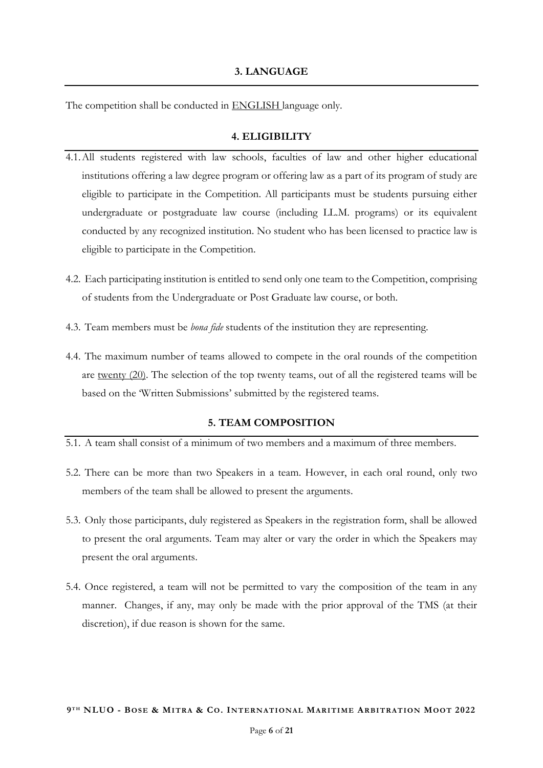## **3. LANGUAGE**

<span id="page-5-0"></span>The competition shall be conducted in ENGLISH language only.

## **4. ELIGIBILITY**

- <span id="page-5-1"></span>4.1.All students registered with law schools, faculties of law and other higher educational institutions offering a law degree program or offering law as a part of its program of study are eligible to participate in the Competition. All participants must be students pursuing either undergraduate or postgraduate law course (including LL.M. programs) or its equivalent conducted by any recognized institution. No student who has been licensed to practice law is eligible to participate in the Competition.
- 4.2. Each participating institution is entitled to send only one team to the Competition, comprising of students from the Undergraduate or Post Graduate law course, or both.
- 4.3. Team members must be *bona fide* students of the institution they are representing.
- 4.4. The maximum number of teams allowed to compete in the oral rounds of the competition are twenty (20). The selection of the top twenty teams, out of all the registered teams will be based on the 'Written Submissions' submitted by the registered teams.

#### **5. TEAM COMPOSITION**

- <span id="page-5-2"></span>5.1. A team shall consist of a minimum of two members and a maximum of three members.
- 5.2. There can be more than two Speakers in a team. However, in each oral round, only two members of the team shall be allowed to present the arguments.
- 5.3. Only those participants, duly registered as Speakers in the registration form, shall be allowed to present the oral arguments. Team may alter or vary the order in which the Speakers may present the oral arguments.
- 5.4. Once registered, a team will not be permitted to vary the composition of the team in any manner. Changes, if any, may only be made with the prior approval of the TMS (at their discretion), if due reason is shown for the same.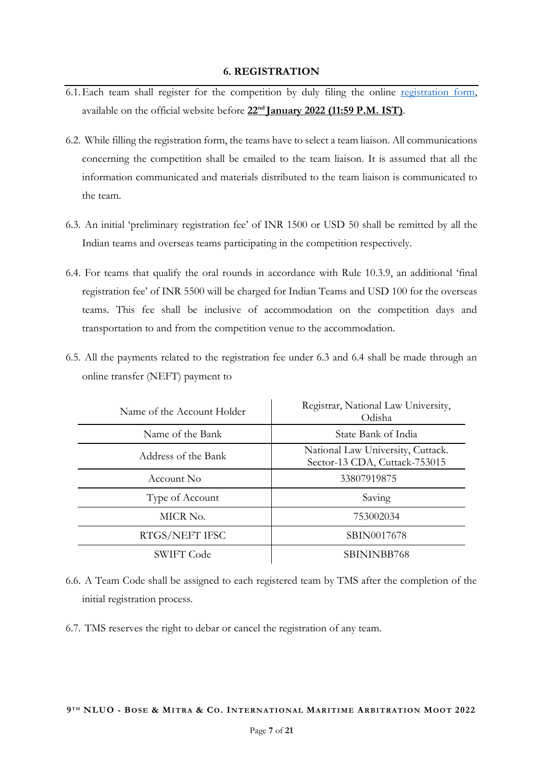#### **6. REGISTRATION**

- <span id="page-6-0"></span>6.1. Each team shall register for the competition by duly filing the online [registration form,](https://docs.google.com/forms/d/e/1FAIpQLSdb8DfUy7VveOAOpP1HKB-sDcMyU13bueI9lvTqeWK0YpYZHg/viewform?usp=sf_link) available on the official website before **22nd January 2022 (11:59 P.M. IST)**.
- 6.2. While filling the registration form, the teams have to select a team liaison. All communications concerning the competition shall be emailed to the team liaison. It is assumed that all the information communicated and materials distributed to the team liaison is communicated to the team.
- 6.3. An initial 'preliminary registration fee' of INR 1500 or USD 50 shall be remitted by all the Indian teams and overseas teams participating in the competition respectively.
- 6.4. For teams that qualify the oral rounds in accordance with Rule 10.3.9, an additional 'final registration fee' of INR 5500 will be charged for Indian Teams and USD 100 for the overseas teams. This fee shall be inclusive of accommodation on the competition days and transportation to and from the competition venue to the accommodation.
- 6.5. All the payments related to the registration fee under 6.3 and 6.4 shall be made through an online transfer (NEFT) payment to

| Name of the Account Holder | Registrar, National Law University,<br>Odisha                      |
|----------------------------|--------------------------------------------------------------------|
| Name of the Bank           | State Bank of India                                                |
| Address of the Bank        | National Law University, Cuttack.<br>Sector-13 CDA, Cuttack-753015 |
| Account No.                | 33807919875                                                        |
| Type of Account            | Saving                                                             |
| MICR No.                   | 753002034                                                          |
| RTGS/NEFT IFSC             | SBIN0017678                                                        |
| <b>SWIFT Code</b>          | SBININBB768                                                        |

- 6.6. A Team Code shall be assigned to each registered team by TMS after the completion of the initial registration process.
- 6.7. TMS reserves the right to debar or cancel the registration of any team.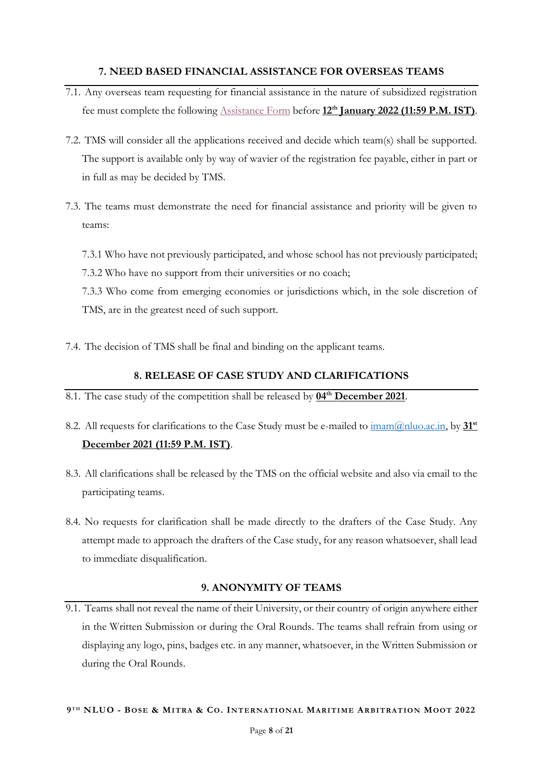## **7. NEED BASED FINANCIAL ASSISTANCE FOR OVERSEAS TEAMS**

- <span id="page-7-0"></span>7.1. Any overseas team requesting for financial assistance in the nature of subsidized registration fee must complete the following [Assistance Form](https://docs.google.com/forms/d/e/1FAIpQLSdTAGgSG5kX-LQwjaQQuex3-EL9El2ekQaRMKB-HBviWD_Sow/viewform?usp=sf_link) before **12 th January 2022 (11:59 P.M. IST)**.
- 7.2. TMS will consider all the applications received and decide which team(s) shall be supported. The support is available only by way of wavier of the registration fee payable, either in part or in full as may be decided by TMS.
- 7.3. The teams must demonstrate the need for financial assistance and priority will be given to teams:
	- 7.3.1 Who have not previously participated, and whose school has not previously participated;
	- 7.3.2 Who have no support from their universities or no coach;
	- 7.3.3 Who come from emerging economies or jurisdictions which, in the sole discretion of TMS, are in the greatest need of such support.
- 7.4. The decision of TMS shall be final and binding on the applicant teams.

## **8. RELEASE OF CASE STUDY AND CLARIFICATIONS**

- <span id="page-7-1"></span>8.1. The case study of the competition shall be released by **04th December 2021**.
- 8.2. All requests for clarifications to the Case Study must be e-mailed to [imam@nluo.ac.in,](mailto:imam@nluo.ac.in) by **31st December 2021 (11:59 P.M. IST)**.
- 8.3. All clarifications shall be released by the TMS on the official website and also via email to the participating teams.
- 8.4. No requests for clarification shall be made directly to the drafters of the Case Study. Any attempt made to approach the drafters of the Case study, for any reason whatsoever, shall lead to immediate disqualification.

## **9. ANONYMITY OF TEAMS**

<span id="page-7-2"></span>9.1. Teams shall not reveal the name of their University, or their country of origin anywhere either in the Written Submission or during the Oral Rounds. The teams shall refrain from using or displaying any logo, pins, badges etc. in any manner, whatsoever, in the Written Submission or during the Oral Rounds.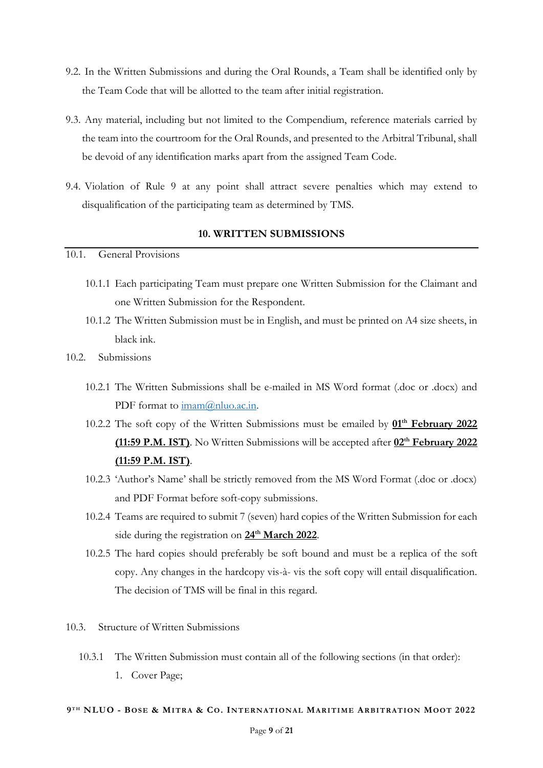- 9.2. In the Written Submissions and during the Oral Rounds, a Team shall be identified only by the Team Code that will be allotted to the team after initial registration.
- 9.3. Any material, including but not limited to the Compendium, reference materials carried by the team into the courtroom for the Oral Rounds, and presented to the Arbitral Tribunal, shall be devoid of any identification marks apart from the assigned Team Code.
- 9.4. Violation of Rule 9 at any point shall attract severe penalties which may extend to disqualification of the participating team as determined by TMS.

## **10. WRITTEN SUBMISSIONS**

## <span id="page-8-0"></span>10.1. General Provisions

- 10.1.1 Each participating Team must prepare one Written Submission for the Claimant and one Written Submission for the Respondent.
- 10.1.2 The Written Submission must be in English, and must be printed on A4 size sheets, in black ink.

## 10.2. Submissions

- 10.2.1 The Written Submissions shall be e-mailed in MS Word format (.doc or .docx) and PDF format to  $\text{imam}(Q)$ nluo.ac.in.
- 10.2.2 The soft copy of the Written Submissions must be emailed by  $01<sup>th</sup>$  February 2022 **(11:59 P.M. IST)**. No Written Submissions will be accepted after **02 th February 2022 (11:59 P.M. IST)**.
- 10.2.3 'Author's Name' shall be strictly removed from the MS Word Format (.doc or .docx) and PDF Format before soft-copy submissions.
- 10.2.4 Teams are required to submit 7 (seven) hard copies of the Written Submission for each side during the registration on  $24^{\text{th}}$  March 2022.
- 10.2.5 The hard copies should preferably be soft bound and must be a replica of the soft copy. Any changes in the hardcopy vis-à- vis the soft copy will entail disqualification. The decision of TMS will be final in this regard.
- 10.3. Structure of Written Submissions
	- 10.3.1 The Written Submission must contain all of the following sections (in that order): 1. Cover Page;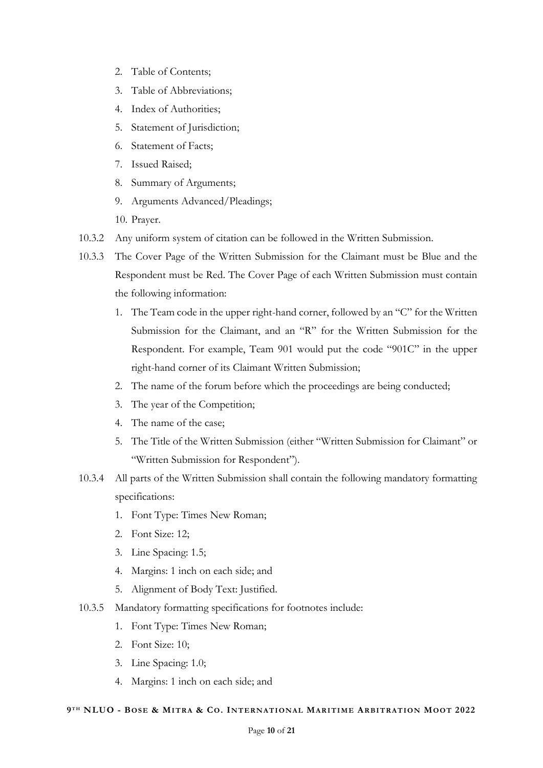- 2. Table of Contents;
- 3. Table of Abbreviations;
- 4. Index of Authorities;
- 5. Statement of Jurisdiction;
- 6. Statement of Facts;
- 7. Issued Raised;
- 8. Summary of Arguments;
- 9. Arguments Advanced/Pleadings;

10. Prayer.

- 10.3.2 Any uniform system of citation can be followed in the Written Submission.
- 10.3.3 The Cover Page of the Written Submission for the Claimant must be Blue and the Respondent must be Red. The Cover Page of each Written Submission must contain the following information:
	- 1. The Team code in the upper right-hand corner, followed by an "C" for the Written Submission for the Claimant, and an "R" for the Written Submission for the Respondent. For example, Team 901 would put the code "901C" in the upper right-hand corner of its Claimant Written Submission;
	- 2. The name of the forum before which the proceedings are being conducted;
	- 3. The year of the Competition;
	- 4. The name of the case;
	- 5. The Title of the Written Submission (either "Written Submission for Claimant" or "Written Submission for Respondent").
- 10.3.4 All parts of the Written Submission shall contain the following mandatory formatting specifications:
	- 1. Font Type: Times New Roman;
	- 2. Font Size: 12;
	- 3. Line Spacing: 1.5;
	- 4. Margins: 1 inch on each side; and
	- 5. Alignment of Body Text: Justified.
- 10.3.5 Mandatory formatting specifications for footnotes include:
	- 1. Font Type: Times New Roman;
	- 2. Font Size: 10;
	- 3. Line Spacing: 1.0;
	- 4. Margins: 1 inch on each side; and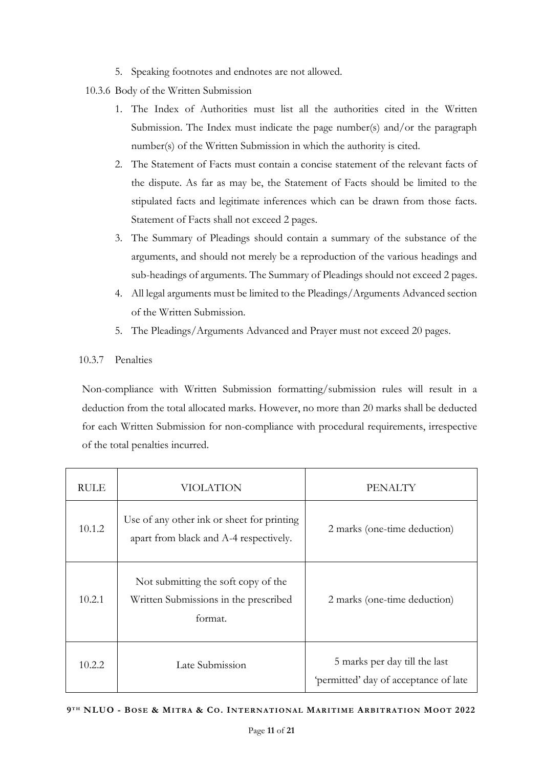- 5. Speaking footnotes and endnotes are not allowed.
- 10.3.6 Body of the Written Submission
	- 1. The Index of Authorities must list all the authorities cited in the Written Submission. The Index must indicate the page number(s) and/or the paragraph number(s) of the Written Submission in which the authority is cited.
	- 2. The Statement of Facts must contain a concise statement of the relevant facts of the dispute. As far as may be, the Statement of Facts should be limited to the stipulated facts and legitimate inferences which can be drawn from those facts. Statement of Facts shall not exceed 2 pages.
	- 3. The Summary of Pleadings should contain a summary of the substance of the arguments, and should not merely be a reproduction of the various headings and sub-headings of arguments. The Summary of Pleadings should not exceed 2 pages.
	- 4. All legal arguments must be limited to the Pleadings/Arguments Advanced section of the Written Submission.
	- 5. The Pleadings/Arguments Advanced and Prayer must not exceed 20 pages.

# 10.3.7 Penalties

Non-compliance with Written Submission formatting/submission rules will result in a deduction from the total allocated marks. However, no more than 20 marks shall be deducted for each Written Submission for non-compliance with procedural requirements, irrespective of the total penalties incurred.

| <b>RULE</b> | VIOLATION                                                                               | PENALTY                                                                |
|-------------|-----------------------------------------------------------------------------------------|------------------------------------------------------------------------|
| 10.1.2      | Use of any other ink or sheet for printing<br>apart from black and A-4 respectively.    | 2 marks (one-time deduction)                                           |
| 10.2.1      | Not submitting the soft copy of the<br>Written Submissions in the prescribed<br>format. | 2 marks (one-time deduction)                                           |
| 10.2.2      | Late Submission                                                                         | 5 marks per day till the last<br>'permitted' day of acceptance of late |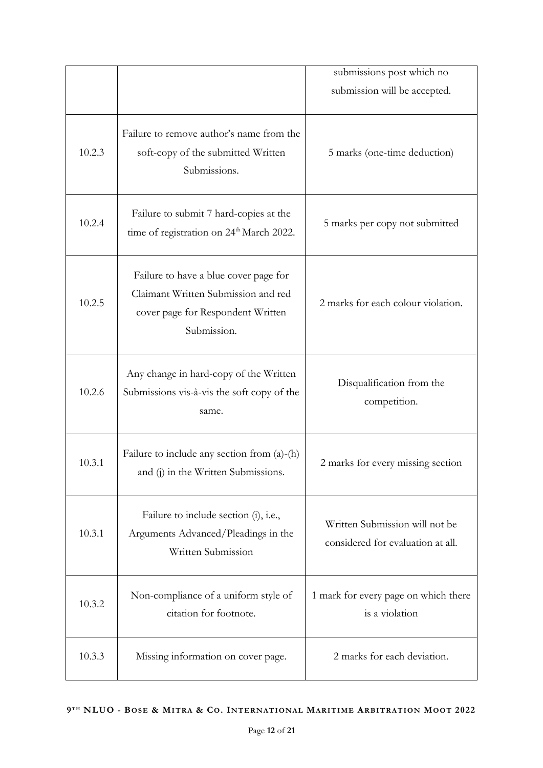|        |                                                                                                                                  | submissions post which no                                           |
|--------|----------------------------------------------------------------------------------------------------------------------------------|---------------------------------------------------------------------|
|        |                                                                                                                                  | submission will be accepted.                                        |
| 10.2.3 | Failure to remove author's name from the<br>soft-copy of the submitted Written<br>Submissions.                                   | 5 marks (one-time deduction)                                        |
| 10.2.4 | Failure to submit 7 hard-copies at the<br>time of registration on 24 <sup>th</sup> March 2022.                                   | 5 marks per copy not submitted                                      |
| 10.2.5 | Failure to have a blue cover page for<br>Claimant Written Submission and red<br>cover page for Respondent Written<br>Submission. | 2 marks for each colour violation.                                  |
| 10.2.6 | Any change in hard-copy of the Written<br>Submissions vis-à-vis the soft copy of the<br>same.                                    | Disqualification from the<br>competition.                           |
| 10.3.1 | Failure to include any section from $(a)$ - $(h)$<br>and (j) in the Written Submissions.                                         | 2 marks for every missing section                                   |
| 10.3.1 | Failure to include section (i), i.e.,<br>Arguments Advanced/Pleadings in the<br>Written Submission                               | Written Submission will not be<br>considered for evaluation at all. |
| 10.3.2 | Non-compliance of a uniform style of<br>citation for footnote.                                                                   | 1 mark for every page on which there<br>is a violation              |
| 10.3.3 | Missing information on cover page.                                                                                               | 2 marks for each deviation.                                         |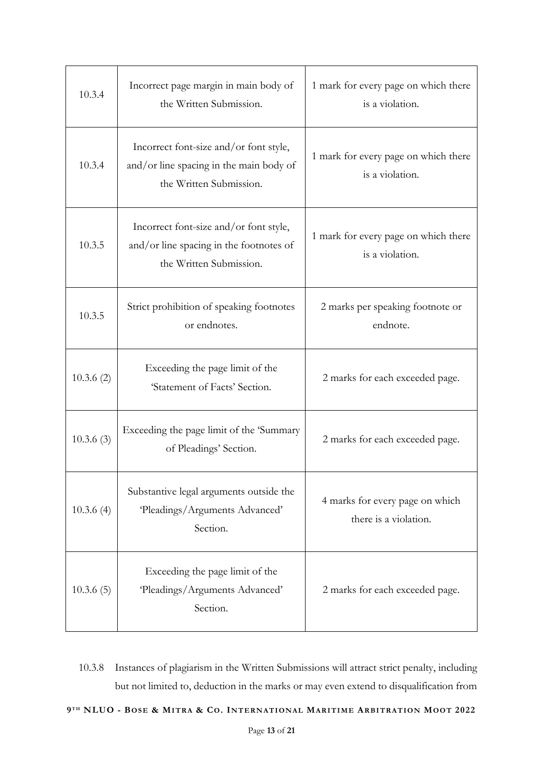| 10.3.4    | Incorrect page margin in main body of<br>the Written Submission.                                             | 1 mark for every page on which there<br>is a violation.  |
|-----------|--------------------------------------------------------------------------------------------------------------|----------------------------------------------------------|
| 10.3.4    | Incorrect font-size and/or font style,<br>and/or line spacing in the main body of<br>the Written Submission. | 1 mark for every page on which there<br>is a violation.  |
| 10.3.5    | Incorrect font-size and/or font style,<br>and/or line spacing in the footnotes of<br>the Written Submission. | 1 mark for every page on which there<br>is a violation.  |
| 10.3.5    | Strict prohibition of speaking footnotes<br>or endnotes.                                                     | 2 marks per speaking footnote or<br>endnote.             |
| 10.3.6(2) | Exceeding the page limit of the<br>'Statement of Facts' Section.                                             | 2 marks for each exceeded page.                          |
| 10.3.6(3) | Exceeding the page limit of the 'Summary<br>of Pleadings' Section.                                           | 2 marks for each exceeded page.                          |
| 10.3.6(4) | Substantive legal arguments outside the<br>'Pleadings/Arguments Advanced'<br>Section.                        | 4 marks for every page on which<br>there is a violation. |
| 10.3.6(5) | Exceeding the page limit of the<br>'Pleadings/Arguments Advanced'<br>Section.                                | 2 marks for each exceeded page.                          |

10.3.8 Instances of plagiarism in the Written Submissions will attract strict penalty, including but not limited to, deduction in the marks or may even extend to disqualification from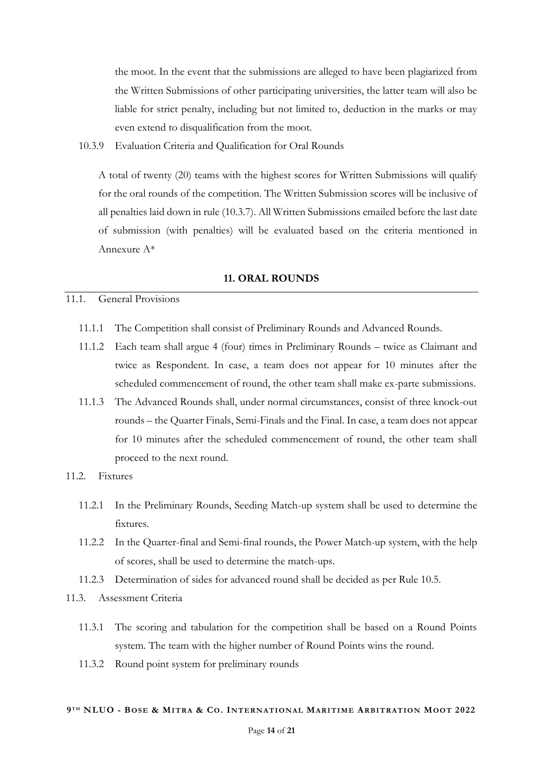the moot. In the event that the submissions are alleged to have been plagiarized from the Written Submissions of other participating universities, the latter team will also be liable for strict penalty, including but not limited to, deduction in the marks or may even extend to disqualification from the moot.

10.3.9 Evaluation Criteria and Qualification for Oral Rounds

A total of twenty (20) teams with the highest scores for Written Submissions will qualify for the oral rounds of the competition. The Written Submission scores will be inclusive of all penalties laid down in rule (10.3.7). All Written Submissions emailed before the last date of submission (with penalties) will be evaluated based on the criteria mentioned in Annexure A\*

### **11. ORAL ROUNDS**

#### <span id="page-13-0"></span>11.1. General Provisions

- 11.1.1 The Competition shall consist of Preliminary Rounds and Advanced Rounds.
- 11.1.2 Each team shall argue 4 (four) times in Preliminary Rounds twice as Claimant and twice as Respondent. In case, a team does not appear for 10 minutes after the scheduled commencement of round, the other team shall make ex-parte submissions.
- 11.1.3 The Advanced Rounds shall, under normal circumstances, consist of three knock-out rounds – the Quarter Finals, Semi-Finals and the Final. In case, a team does not appear for 10 minutes after the scheduled commencement of round, the other team shall proceed to the next round.

## 11.2. Fixtures

- 11.2.1 In the Preliminary Rounds, Seeding Match-up system shall be used to determine the fixtures.
- 11.2.2 In the Quarter-final and Semi-final rounds, the Power Match-up system, with the help of scores, shall be used to determine the match-ups.
- 11.2.3 Determination of sides for advanced round shall be decided as per Rule 10.5.
- 11.3. Assessment Criteria
	- 11.3.1 The scoring and tabulation for the competition shall be based on a Round Points system. The team with the higher number of Round Points wins the round.
	- 11.3.2 Round point system for preliminary rounds

#### 9TH NLUO - BOSE & MITRA & CO. INTERNATIONAL MARITIME ARBITRATION MOOT 2022

#### Page **14** of **21**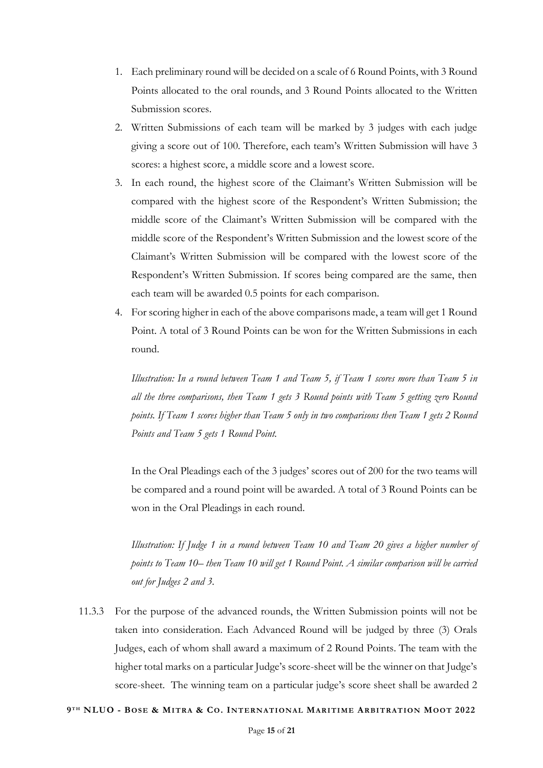- 1. Each preliminary round will be decided on a scale of 6 Round Points, with 3 Round Points allocated to the oral rounds, and 3 Round Points allocated to the Written Submission scores.
- 2. Written Submissions of each team will be marked by 3 judges with each judge giving a score out of 100. Therefore, each team's Written Submission will have 3 scores: a highest score, a middle score and a lowest score.
- 3. In each round, the highest score of the Claimant's Written Submission will be compared with the highest score of the Respondent's Written Submission; the middle score of the Claimant's Written Submission will be compared with the middle score of the Respondent's Written Submission and the lowest score of the Claimant's Written Submission will be compared with the lowest score of the Respondent's Written Submission. If scores being compared are the same, then each team will be awarded 0.5 points for each comparison.
- 4. For scoring higher in each of the above comparisons made, a team will get 1 Round Point. A total of 3 Round Points can be won for the Written Submissions in each round.

*Illustration: In a round between Team 1 and Team 5, if Team 1 scores more than Team 5 in all the three comparisons, then Team 1 gets 3 Round points with Team 5 getting zero Round points. If Team 1 scores higher than Team 5 only in two comparisons then Team 1 gets 2 Round Points and Team 5 gets 1 Round Point.*

In the Oral Pleadings each of the 3 judges' scores out of 200 for the two teams will be compared and a round point will be awarded. A total of 3 Round Points can be won in the Oral Pleadings in each round.

*Illustration: If Judge 1 in a round between Team 10 and Team 20 gives a higher number of points to Team 10– then Team 10 will get 1 Round Point. A similar comparison will be carried out for Judges 2 and 3.*

11.3.3 For the purpose of the advanced rounds, the Written Submission points will not be taken into consideration. Each Advanced Round will be judged by three (3) Orals Judges, each of whom shall award a maximum of 2 Round Points. The team with the higher total marks on a particular Judge's score-sheet will be the winner on that Judge's score-sheet. The winning team on a particular judge's score sheet shall be awarded 2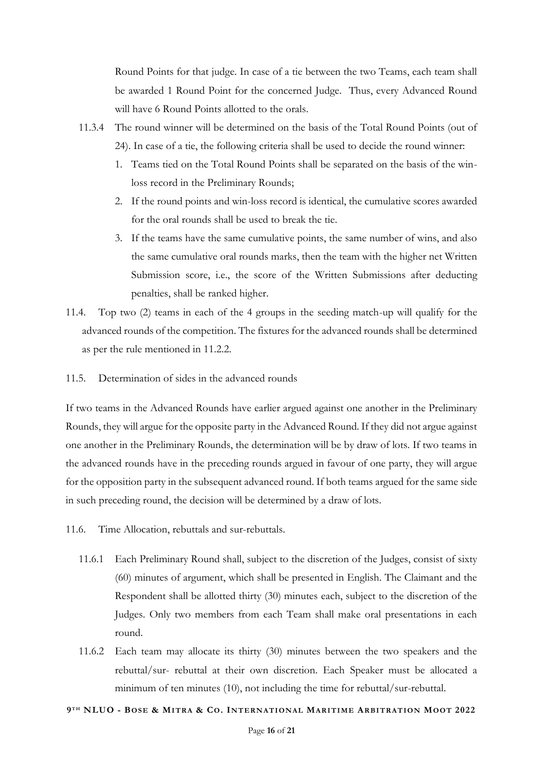Round Points for that judge. In case of a tie between the two Teams, each team shall be awarded 1 Round Point for the concerned Judge. Thus, every Advanced Round will have 6 Round Points allotted to the orals.

- 11.3.4 The round winner will be determined on the basis of the Total Round Points (out of 24). In case of a tie, the following criteria shall be used to decide the round winner:
	- 1. Teams tied on the Total Round Points shall be separated on the basis of the winloss record in the Preliminary Rounds;
	- 2. If the round points and win-loss record is identical, the cumulative scores awarded for the oral rounds shall be used to break the tie.
	- 3. If the teams have the same cumulative points, the same number of wins, and also the same cumulative oral rounds marks, then the team with the higher net Written Submission score, i.e., the score of the Written Submissions after deducting penalties, shall be ranked higher.
- 11.4. Top two (2) teams in each of the 4 groups in the seeding match-up will qualify for the advanced rounds of the competition. The fixtures for the advanced rounds shall be determined as per the rule mentioned in 11.2.2.
- 11.5. Determination of sides in the advanced rounds

If two teams in the Advanced Rounds have earlier argued against one another in the Preliminary Rounds, they will argue for the opposite party in the Advanced Round. If they did not argue against one another in the Preliminary Rounds, the determination will be by draw of lots. If two teams in the advanced rounds have in the preceding rounds argued in favour of one party, they will argue for the opposition party in the subsequent advanced round. If both teams argued for the same side in such preceding round, the decision will be determined by a draw of lots.

- 11.6. Time Allocation, rebuttals and sur-rebuttals.
	- 11.6.1 Each Preliminary Round shall, subject to the discretion of the Judges, consist of sixty (60) minutes of argument, which shall be presented in English. The Claimant and the Respondent shall be allotted thirty (30) minutes each, subject to the discretion of the Judges. Only two members from each Team shall make oral presentations in each round.
	- 11.6.2 Each team may allocate its thirty (30) minutes between the two speakers and the rebuttal/sur- rebuttal at their own discretion. Each Speaker must be allocated a minimum of ten minutes (10), not including the time for rebuttal/sur-rebuttal.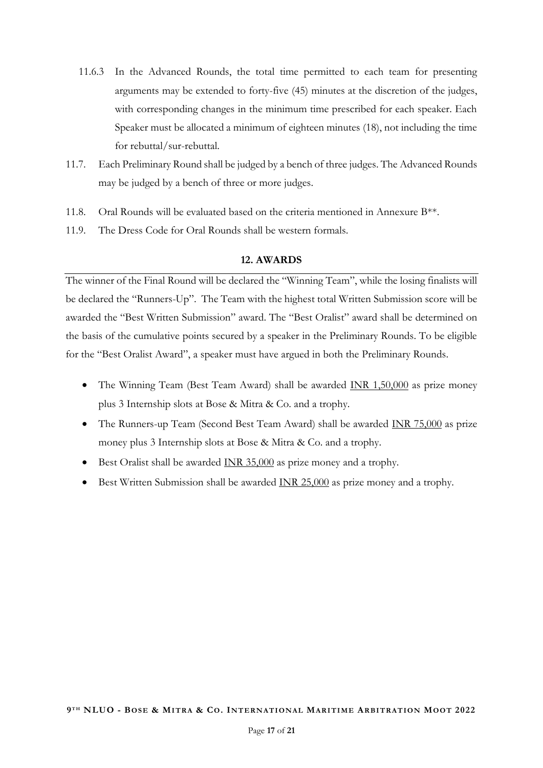- 11.6.3 In the Advanced Rounds, the total time permitted to each team for presenting arguments may be extended to forty-five (45) minutes at the discretion of the judges, with corresponding changes in the minimum time prescribed for each speaker. Each Speaker must be allocated a minimum of eighteen minutes (18), not including the time for rebuttal/sur-rebuttal.
- 11.7. Each Preliminary Round shall be judged by a bench of three judges. The Advanced Rounds may be judged by a bench of three or more judges.
- 11.8. Oral Rounds will be evaluated based on the criteria mentioned in Annexure  $B^{**}$ .
- 11.9. The Dress Code for Oral Rounds shall be western formals.

## **12. AWARDS**

<span id="page-16-0"></span>The winner of the Final Round will be declared the "Winning Team", while the losing finalists will be declared the "Runners-Up". The Team with the highest total Written Submission score will be awarded the "Best Written Submission" award. The "Best Oralist" award shall be determined on the basis of the cumulative points secured by a speaker in the Preliminary Rounds. To be eligible for the "Best Oralist Award", a speaker must have argued in both the Preliminary Rounds.

- The Winning Team (Best Team Award) shall be awarded INR 1,50,000 as prize money plus 3 Internship slots at Bose & Mitra & Co. and a trophy.
- The Runners-up Team (Second Best Team Award) shall be awarded INR 75,000 as prize money plus 3 Internship slots at Bose & Mitra & Co. and a trophy.
- Best Oralist shall be awarded INR 35,000 as prize money and a trophy.
- Best Written Submission shall be awarded INR 25,000 as prize money and a trophy.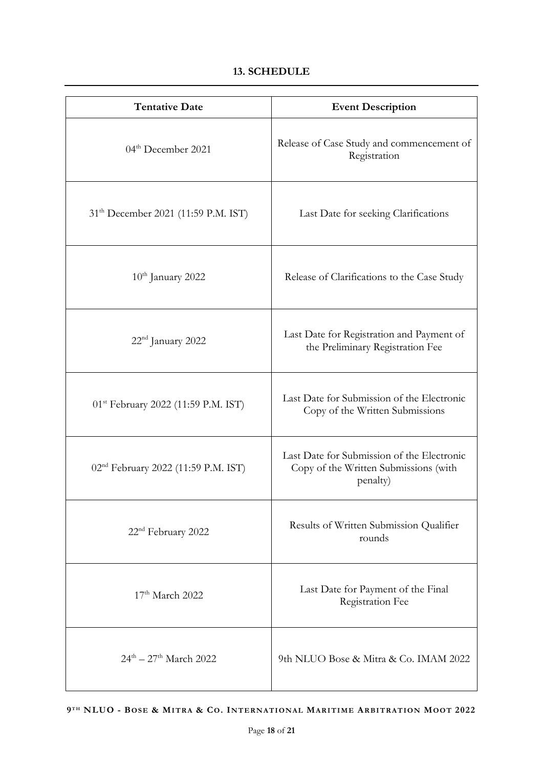# **13. SCHEDULE**

<span id="page-17-0"></span>

| <b>Tentative Date</b>                           | <b>Event Description</b>                                                                        |
|-------------------------------------------------|-------------------------------------------------------------------------------------------------|
| 04 <sup>th</sup> December 2021                  | Release of Case Study and commencement of<br>Registration                                       |
| 31 <sup>th</sup> December 2021 (11:59 P.M. IST) | Last Date for seeking Clarifications                                                            |
| $10th$ January 2022                             | Release of Clarifications to the Case Study                                                     |
| 22 <sup>nd</sup> January 2022                   | Last Date for Registration and Payment of<br>the Preliminary Registration Fee                   |
| 01 <sup>st</sup> February 2022 (11:59 P.M. IST) | Last Date for Submission of the Electronic<br>Copy of the Written Submissions                   |
| 02 <sup>nd</sup> February 2022 (11:59 P.M. IST) | Last Date for Submission of the Electronic<br>Copy of the Written Submissions (with<br>penalty) |
| 22 <sup>nd</sup> February 2022                  | Results of Written Submission Qualifier<br>rounds                                               |
| 17 <sup>th</sup> March 2022                     | Last Date for Payment of the Final<br>Registration Fee                                          |
| $24^{\text{th}} - 27^{\text{th}}$ March 2022    | 9th NLUO Bose & Mitra & Co. IMAM 2022                                                           |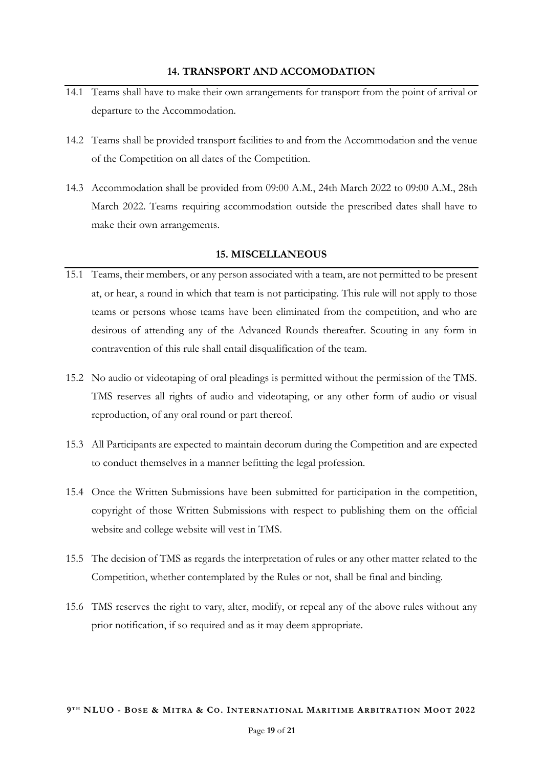- <span id="page-18-0"></span>14.1 Teams shall have to make their own arrangements for transport from the point of arrival or departure to the Accommodation.
- 14.2 Teams shall be provided transport facilities to and from the Accommodation and the venue of the Competition on all dates of the Competition.
- 14.3 Accommodation shall be provided from 09:00 A.M., 24th March 2022 to 09:00 A.M., 28th March 2022. Teams requiring accommodation outside the prescribed dates shall have to make their own arrangements.

# **15. MISCELLANEOUS**

- <span id="page-18-1"></span>15.1 Teams, their members, or any person associated with a team, are not permitted to be present at, or hear, a round in which that team is not participating. This rule will not apply to those teams or persons whose teams have been eliminated from the competition, and who are desirous of attending any of the Advanced Rounds thereafter. Scouting in any form in contravention of this rule shall entail disqualification of the team.
- 15.2 No audio or videotaping of oral pleadings is permitted without the permission of the TMS. TMS reserves all rights of audio and videotaping, or any other form of audio or visual reproduction, of any oral round or part thereof.
- 15.3 All Participants are expected to maintain decorum during the Competition and are expected to conduct themselves in a manner befitting the legal profession.
- 15.4 Once the Written Submissions have been submitted for participation in the competition, copyright of those Written Submissions with respect to publishing them on the official website and college website will vest in TMS.
- 15.5 The decision of TMS as regards the interpretation of rules or any other matter related to the Competition, whether contemplated by the Rules or not, shall be final and binding.
- 15.6 TMS reserves the right to vary, alter, modify, or repeal any of the above rules without any prior notification, if so required and as it may deem appropriate.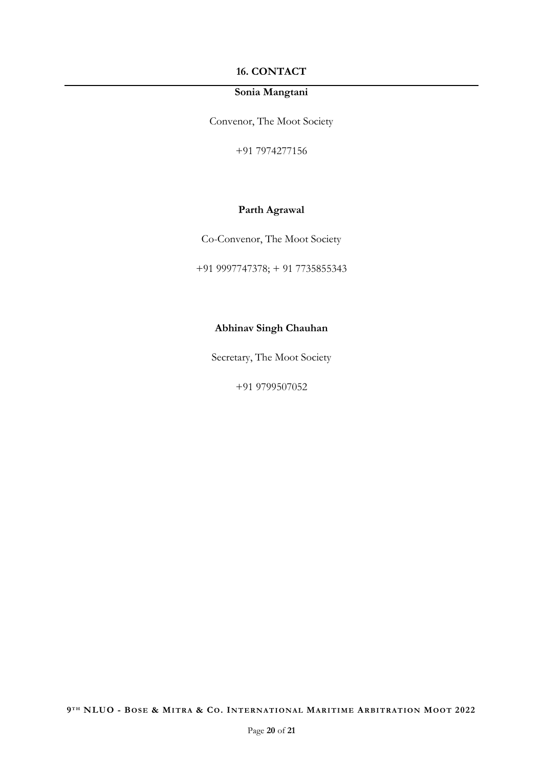## **16. CONTACT**

# **Sonia Mangtani**

<span id="page-19-0"></span>Convenor, The Moot Society

+91 7974277156

# **Parth Agrawal**

Co-Convenor, The Moot Society

+91 9997747378; + 91 7735855343

# **Abhinav Singh Chauhan**

Secretary, The Moot Society

+91 9799507052